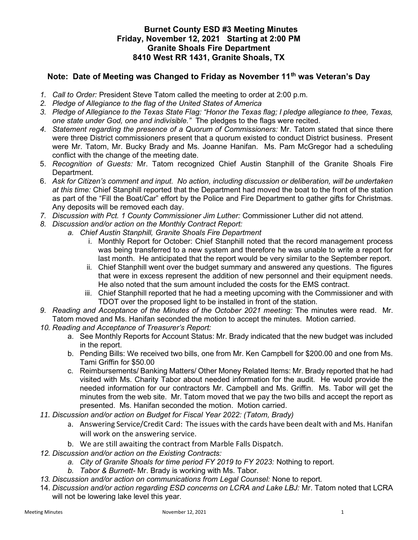## Burnet County ESD #3 Meeting Minutes Friday, November 12, 2021 Starting at 2:00 PM Granite Shoals Fire Department 8410 West RR 1431, Granite Shoals, TX

## Note: Date of Meeting was Changed to Friday as November 11<sup>th</sup> was Veteran's Day

- 1. Call to Order: President Steve Tatom called the meeting to order at 2:00 p.m.
- 2. Pledge of Allegiance to the flag of the United States of America
- 3. Pledge of Allegiance to the Texas State Flag: "Honor the Texas flag; I pledge allegiance to thee, Texas, one state under God, one and indivisible." The pledges to the flags were recited.
- 4. Statement regarding the presence of a Quorum of Commissioners: Mr. Tatom stated that since there were three District commissioners present that a quorum existed to conduct District business. Present were Mr. Tatom, Mr. Bucky Brady and Ms. Joanne Hanifan. Ms. Pam McGregor had a scheduling conflict with the change of the meeting date.
- 5. Recognition of Guests: Mr. Tatom recognized Chief Austin Stanphill of the Granite Shoals Fire Department.
- 6. Ask for Citizen's comment and input. No action, including discussion or deliberation, will be undertaken at this time: Chief Stanphill reported that the Department had moved the boat to the front of the station as part of the "Fill the Boat/Car" effort by the Police and Fire Department to gather gifts for Christmas. Any deposits will be removed each day.
- 7. Discussion with Pct. 1 County Commissioner Jim Luther: Commissioner Luther did not attend.
- 8. Discussion and/or action on the Monthly Contract Report:
	- a. Chief Austin Stanphill, Granite Shoals Fire Department
		- i. Monthly Report for October: Chief Stanphill noted that the record management process was being transferred to a new system and therefore he was unable to write a report for last month. He anticipated that the report would be very similar to the September report.
		- ii. Chief Stanphill went over the budget summary and answered any questions. The figures that were in excess represent the addition of new personnel and their equipment needs. He also noted that the sum amount included the costs for the EMS contract.
		- iii. Chief Stanphill reported that he had a meeting upcoming with the Commissioner and with TDOT over the proposed light to be installed in front of the station.
- 9. Reading and Acceptance of the Minutes of the October 2021 meeting: The minutes were read. Mr. Tatom moved and Ms. Hanifan seconded the motion to accept the minutes. Motion carried.
- 10. Reading and Acceptance of Treasurer's Report:
	- a. See Monthly Reports for Account Status: Mr. Brady indicated that the new budget was included in the report.
	- b. Pending Bills: We received two bills, one from Mr. Ken Campbell for \$200.00 and one from Ms. Tami Griffin for \$50.00
	- c. Reimbursements/ Banking Matters/ Other Money Related Items: Mr. Brady reported that he had visited with Ms. Charity Tabor about needed information for the audit. He would provide the needed information for our contractors Mr. Campbell and Ms. Griffin. Ms. Tabor will get the minutes from the web site. Mr. Tatom moved that we pay the two bills and accept the report as presented. Ms. Hanifan seconded the motion. Motion carried.
- 11. Discussion and/or action on Budget for Fiscal Year 2022: (Tatom, Brady)
	- a. Answering Service/Credit Card: The issues with the cards have been dealt with and Ms. Hanifan will work on the answering service.
	- b. We are still awaiting the contract from Marble Falls Dispatch.
- 12. Discussion and/or action on the Existing Contracts:
	- a. City of Granite Shoals for time period FY 2019 to FY 2023: Nothing to report.
	- b. Tabor & Burnett- Mr. Brady is working with Ms. Tabor.
- 13. Discussion and/or action on communications from Legal Counsel: None to report.
- 14. Discussion and/or action regarding ESD concerns on LCRA and Lake LBJ: Mr. Tatom noted that LCRA will not be lowering lake level this year.